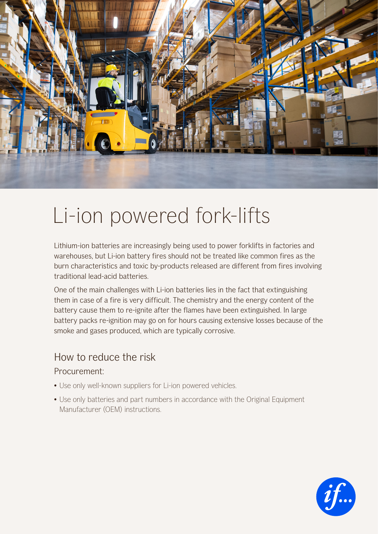

# Li-ion powered fork-lifts

Lithium-ion batteries are increasingly being used to power forklifts in factories and warehouses, but Li-ion battery fires should not be treated like common fires as the burn characteristics and toxic by-products released are different from fires involving traditional lead-acid batteries.

One of the main challenges with Li-ion batteries lies in the fact that extinguishing them in case of a fire is very difficult. The chemistry and the energy content of the battery cause them to re-ignite after the flames have been extinguished. In large battery packs re-ignition may go on for hours causing extensive losses because of the smoke and gases produced, which are typically corrosive.

## How to reduce the risk

### Procurement:

- Use only well-known suppliers for Li-ion powered vehicles.
- Use only batteries and part numbers in accordance with the Original Equipment Manufacturer (OEM) instructions.

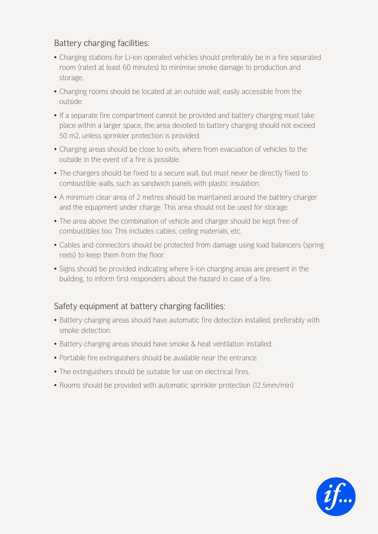## Battery charging facilities:

- Charging stations for Li-ion operated vehicles should preferably be in a fire separated room (rated at least 60 minutes) to minimise smoke damage to production and storage.
- Charging rooms should be located at an outside wall, easily accessible from the outside.
- If a separate fire compartment cannot be provided and battery charging must take place within a larger space, the area devoted to battery charging should not exceed 50 m2, unless sprinkler protection is provided.
- Charging areas should be close to exits, where from evacuation of vehicles to the outside in the event of a fire is possible.
- The chargers should be fixed to a secure wall, but must never be directly fixed to combustible walls, such as sandwich panels with plastic insulation.
- A minimum clear area of 2 metres should be maintained around the battery charger and the equipment under charge. This area should not be used for storage.
- The area above the combination of vehicle and charger should be kept free of combustibles too. This includes cables, ceiling materials, etc.
- Cables and connectors should be protected from damage using load balancers (spring reels) to keep them from the floor.
- Signs should be provided indicating where li-ion charging areas are present in the building, to inform first responders about the hazard in case of a fire.

## Safety equipment at battery charging facilities:

- Battery charging areas should have automatic fire detection installed, preferably with smoke detection.
- Battery charging areas should have smoke & heat ventilation installed.
- Portable fire extinguishers should be available near the entrance.
- The extinguishers should be suitable for use on electrical fires.
- Rooms should be provided with automatic sprinkler protection (12.5mm/min)

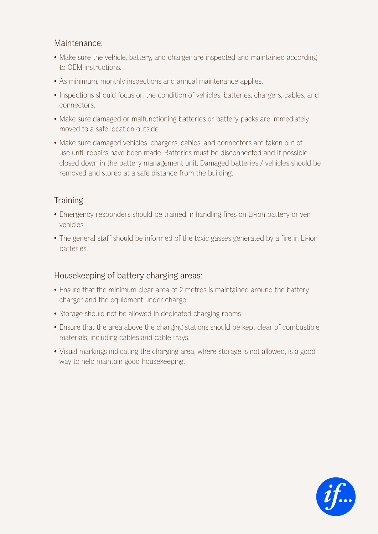### Maintenance:

- Make sure the vehicle, battery, and charger are inspected and maintained according to OEM instructions.
- As minimum, monthly inspections and annual maintenance applies.
- Inspections should focus on the condition of vehicles, batteries, chargers, cables, and connectors.
- Make sure damaged or malfunctioning batteries or battery packs are immediately moved to a safe location outside.
- Make sure damaged vehicles, chargers, cables, and connectors are taken out of use until repairs have been made. Batteries must be disconnected and if possible closed down in the battery management unit. Damaged batteries / vehicles should be removed and stored at a safe distance from the building.

## Training:

- Emergency responders should be trained in handling fires on Li-ion battery driven vehicles.
- The general staff should be informed of the toxic gasses generated by a fire in Li-ion batteries.

### Housekeeping of battery charging areas:

- Ensure that the minimum clear area of 2 metres is maintained around the battery charger and the equipment under charge.
- Storage should not be allowed in dedicated charging rooms.
- Ensure that the area above the charging stations should be kept clear of combustible materials, including cables and cable trays.
- Visual markings indicating the charging area, where storage is not allowed, is a good way to help maintain good housekeeping.